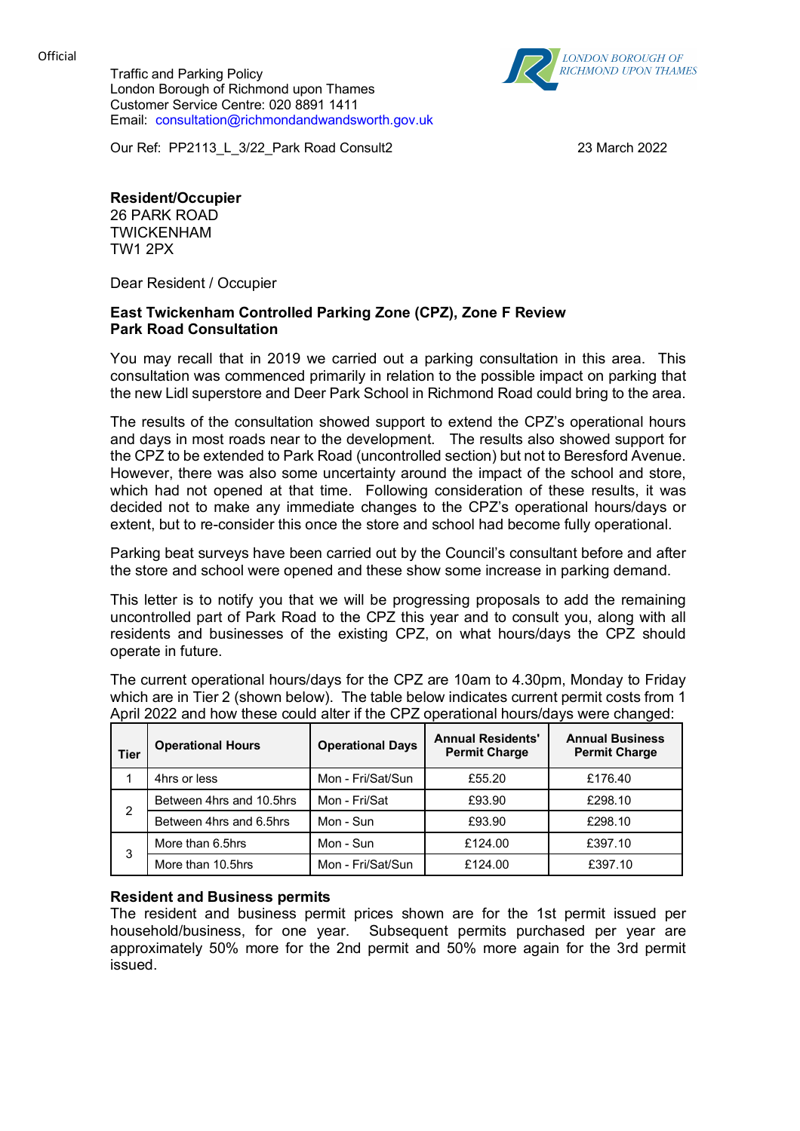Official

Traffic and Parking Policy London Borough of Richmond upon Thames Customer Service Centre: 020 8891 1411 Email: consultation@richmondandwandsworth.gov.uk



Our Ref: PP2113\_L\_3/22\_Park Road Consult2 23 March 2022

# **Resident/Occupier**

26 PARK ROAD TWICKENHAM TW1 2PX

Dear Resident / Occupier

### **East Twickenham Controlled Parking Zone (CPZ), Zone F Review Park Road Consultation**

You may recall that in 2019 we carried out a parking consultation in this area. This consultation was commenced primarily in relation to the possible impact on parking that the new Lidl superstore and Deer Park School in Richmond Road could bring to the area.

The results of the consultation showed support to extend the CPZ's operational hours and days in most roads near to the development. The results also showed support for the CPZ to be extended to Park Road (uncontrolled section) but not to Beresford Avenue. However, there was also some uncertainty around the impact of the school and store, which had not opened at that time. Following consideration of these results, it was decided not to make any immediate changes to the CPZ's operational hours/days or extent, but to re-consider this once the store and school had become fully operational.

Parking beat surveys have been carried out by the Council's consultant before and after the store and school were opened and these show some increase in parking demand.

This letter is to notify you that we will be progressing proposals to add the remaining uncontrolled part of Park Road to the CPZ this year and to consult you, along with all residents and businesses of the existing CPZ, on what hours/days the CPZ should operate in future.

The current operational hours/days for the CPZ are 10am to 4.30pm, Monday to Friday which are in Tier 2 (shown below). The table below indicates current permit costs from 1 April 2022 and how these could alter if the CPZ operational hours/days were changed:

| <b>Tier</b> | <b>Operational Hours</b> | <b>Operational Days</b> | <b>Annual Residents'</b><br><b>Permit Charge</b> | <b>Annual Business</b><br><b>Permit Charge</b> |
|-------------|--------------------------|-------------------------|--------------------------------------------------|------------------------------------------------|
|             | 4hrs or less             | Mon - Fri/Sat/Sun       | £55.20                                           | £176.40                                        |
| 2           | Between 4hrs and 10.5hrs | Mon - Fri/Sat           | £93.90                                           | £298.10                                        |
|             | Between 4hrs and 6.5hrs  | Mon - Sun               | £93.90                                           | £298.10                                        |
| 3           | More than 6.5hrs         | Mon - Sun               | £124.00                                          | £397.10                                        |
|             | More than 10.5hrs        | Mon - Fri/Sat/Sun       | £124.00                                          | £397.10                                        |

## **Resident and Business permits**

The resident and business permit prices shown are for the 1st permit issued per household/business, for one year. Subsequent permits purchased per year are approximately 50% more for the 2nd permit and 50% more again for the 3rd permit issued.